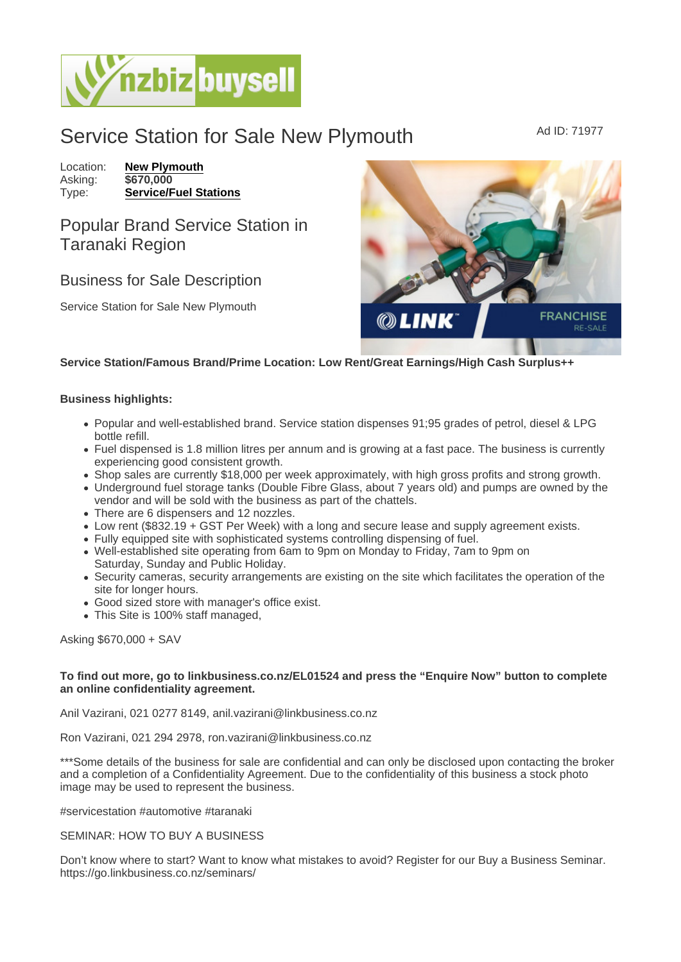## Service Station for Sale New Plymouth Ad ID: 71977

Location: [New Plymouth](https://www.nzbizbuysell.co.nz/businesses-for-sale/location/New-Plymouth) Asking: \$670,000<br>Type: Service/F [Service/Fuel Stations](https://www.nzbizbuysell.co.nz/businesses-for-sale/Service-Stations/New-Zealand)

## Popular Brand Service Station in Taranaki Region

## Business for Sale Description

Service Station for Sale New Plymouth

Service Station/Famous Brand/Prime Location: Low Rent/Great Earnings/High Cash Surplus++

Business highlights:

- Popular and well-established brand. Service station dispenses 91;95 grades of petrol, diesel & LPG bottle refill.
- Fuel dispensed is 1.8 million litres per annum and is growing at a fast pace. The business is currently experiencing good consistent growth.
- Shop sales are currently \$18,000 per week approximately, with high gross profits and strong growth.
- Underground fuel storage tanks (Double Fibre Glass, about 7 years old) and pumps are owned by the vendor and will be sold with the business as part of the chattels.
- There are 6 dispensers and 12 nozzles.
- Low rent (\$832.19 + GST Per Week) with a long and secure lease and supply agreement exists.
- Fully equipped site with sophisticated systems controlling dispensing of fuel.
- Well-established site operating from 6am to 9pm on Monday to Friday, 7am to 9pm on
- Saturday, Sunday and Public Holiday. Security cameras, security arrangements are existing on the site which facilitates the operation of the site for longer hours.
- Good sized store with manager's office exist.
- This Site is 100% staff managed,

Asking \$670,000 + SAV

To find out more, go to linkbusiness.co.nz/EL01524 and press the "Enquire Now" button to complete an online confidentiality agreement.

Anil Vazirani, 021 0277 8149, anil.vazirani@linkbusiness.co.nz

Ron Vazirani, 021 294 2978, ron.vazirani@linkbusiness.co.nz

\*\*\*Some details of the business for sale are confidential and can only be disclosed upon contacting the broker and a completion of a Confidentiality Agreement. Due to the confidentiality of this business a stock photo image may be used to represent the business.

#servicestation #automotive #taranaki

SEMINAR: HOW TO BUY A BUSINESS

Don't know where to start? Want to know what mistakes to avoid? Register for our Buy a Business Seminar. https://go.linkbusiness.co.nz/seminars/